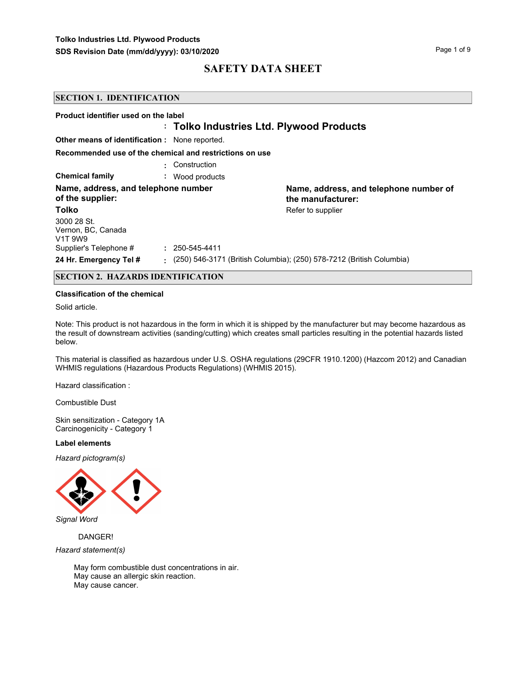|                                                                       | <b>SECTION 1. IDENTIFICATION</b> |                                                                      |  |  |
|-----------------------------------------------------------------------|----------------------------------|----------------------------------------------------------------------|--|--|
| Product identifier used on the label                                  |                                  | : Tolko Industries Ltd. Plywood Products                             |  |  |
| <b>Other means of identification:</b> None reported.                  |                                  |                                                                      |  |  |
| Recommended use of the chemical and restrictions on use               |                                  |                                                                      |  |  |
|                                                                       | Construction                     |                                                                      |  |  |
| <b>Chemical family</b>                                                | : Wood products                  |                                                                      |  |  |
| Name, address, and telephone number<br>of the supplier:               |                                  | Name, address, and telephone number of<br>the manufacturer:          |  |  |
| Tolko                                                                 |                                  | Refer to supplier                                                    |  |  |
| 3000 28 St.<br>Vernon, BC, Canada<br>V <sub>1</sub> T 9W <sub>9</sub> |                                  |                                                                      |  |  |
| Supplier's Telephone #                                                | $: 250 - 545 - 4411$             |                                                                      |  |  |
| 24 Hr. Emergency Tel #                                                |                                  | (250) 546-3171 (British Columbia); (250) 578-7212 (British Columbia) |  |  |

# **SECTION 2. HAZARDS IDENTIFICATION**

### **Classification of the chemical**

Solid article.

Note: This product is not hazardous in the form in which it is shipped by the manufacturer but may become hazardous as the result of downstream activities (sanding/cutting) which creates small particles resulting in the potential hazards listed below.

This material is classified as hazardous under U.S. OSHA regulations (29CFR 1910.1200) (Hazcom 2012) and Canadian WHMIS regulations (Hazardous Products Regulations) (WHMIS 2015).

Hazard classification :

Combustible Dust

Skin sensitization - Category 1A Carcinogenicity - Category 1

### **Label elements**

*Hazard pictogram(s)*



*Signal Word*

 DANGER! *Hazard statement(s)*

> May form combustible dust concentrations in air. May cause an allergic skin reaction. May cause cancer.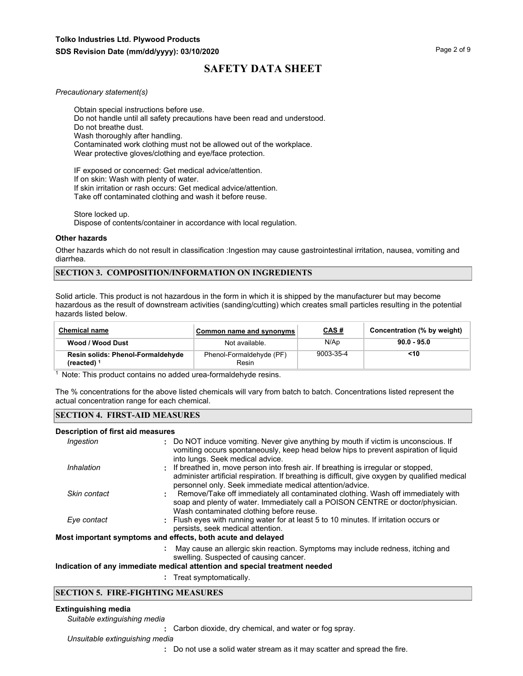#### *Precautionary statement(s)*

Obtain special instructions before use. Do not handle until all safety precautions have been read and understood. Do not breathe dust. Wash thoroughly after handling. Contaminated work clothing must not be allowed out of the workplace. Wear protective gloves/clothing and eye/face protection.

IF exposed or concerned: Get medical advice/attention. If on skin: Wash with plenty of water. If skin irritation or rash occurs: Get medical advice/attention. Take off contaminated clothing and wash it before reuse.

Store locked up. Dispose of contents/container in accordance with local regulation.

#### **Other hazards**

Other hazards which do not result in classification :Ingestion may cause gastrointestinal irritation, nausea, vomiting and diarrhea.

# **SECTION 3. COMPOSITION/INFORMATION ON INGREDIENTS**

Solid article. This product is not hazardous in the form in which it is shipped by the manufacturer but may become hazardous as the result of downstream activities (sanding/cutting) which creates small particles resulting in the potential hazards listed below.

| <b>Chemical name</b>                               | Common name and synonyms          | <u>CAS#</u> | Concentration (% by weight) |
|----------------------------------------------------|-----------------------------------|-------------|-----------------------------|
| Wood / Wood Dust                                   | Not available.                    | N/Ap        | $90.0 - 95.0$               |
| Resin solids: Phenol-Formaldehyde<br>(reacted) $1$ | Phenol-Formaldehyde (PF)<br>Resin | 9003-35-4   | <10                         |

<sup>1</sup> Note: This product contains no added urea-formaldehyde resins.

The % concentrations for the above listed chemicals will vary from batch to batch. Concentrations listed represent the actual concentration range for each chemical.

#### **SECTION 4. FIRST-AID MEASURES**

### **Description of first aid measures**

| Ingestion    | : Do NOT induce vomiting. Never give anything by mouth if victim is unconscious. If<br>vomiting occurs spontaneously, keep head below hips to prevent aspiration of liquid<br>into lungs. Seek medical advice.                                    |
|--------------|---------------------------------------------------------------------------------------------------------------------------------------------------------------------------------------------------------------------------------------------------|
| Inhalation   | : If breathed in, move person into fresh air. If breathing is irregular or stopped,<br>administer artificial respiration. If breathing is difficult, give oxygen by qualified medical<br>personnel only. Seek immediate medical attention/advice. |
| Skin contact | Remove/Take off immediately all contaminated clothing. Wash off immediately with<br>soap and plenty of water. Immediately call a POISON CENTRE or doctor/physician.<br>Wash contaminated clothing before reuse.                                   |
| Eye contact  | : Flush eyes with running water for at least 5 to 10 minutes. If irritation occurs or<br>persists, seek medical attention.                                                                                                                        |
|              | Most important symptoms and effects, both acute and delayed                                                                                                                                                                                       |
|              | May cause an allergic skin reaction. Symptoms may include redness, itching and<br>swelling. Suspected of causing cancer.                                                                                                                          |
|              | Indication of any immediate medical attention and special treatment needed                                                                                                                                                                        |
|              |                                                                                                                                                                                                                                                   |

**:** Treat symptomatically.

# **SECTION 5. FIRE-FIGHTING MEASURES**

#### **Extinguishing media**

*Suitable extinguishing media*

**:** Carbon dioxide, dry chemical, and water or fog spray.

*Unsuitable extinguishing media*

**:** Do not use a solid water stream as it may scatter and spread the fire.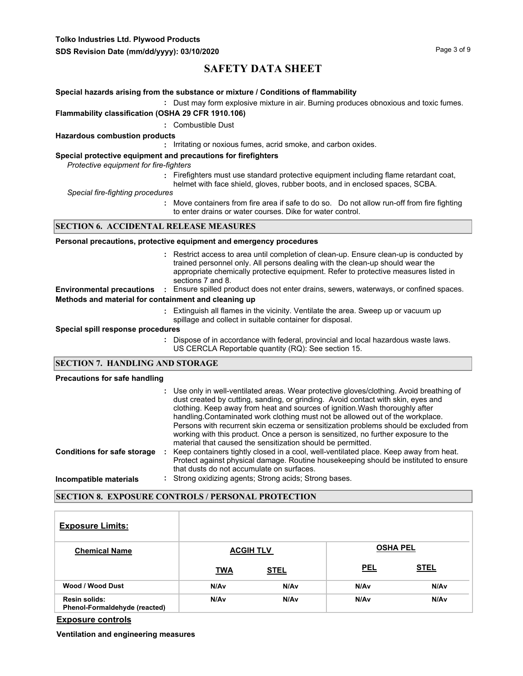**Tolko Industries Ltd. Plywood Products**

# **SAFETY DATA SHEET**

# **Special hazards arising from the substance or mixture / Conditions of flammability**

**:** Dust may form explosive mixture in air. Burning produces obnoxious and toxic fumes.

# **Flammability classification (OSHA 29 CFR 1910.106)**

**:** Combustible Dust

#### **Hazardous combustion products**

**:** Irritating or noxious fumes, acrid smoke, and carbon oxides.

### **Special protective equipment and precautions for firefighters**

*Protective equipment for fire-fighters*

- **:** Firefighters must use standard protective equipment including flame retardant coat,
- helmet with face shield, gloves, rubber boots, and in enclosed spaces, SCBA.

*Special fire-fighting procedures*

**:** Move containers from fire area if safe to do so. Do not allow run-off from fire fighting to enter drains or water courses. Dike for water control.

# **SECTION 6. ACCIDENTAL RELEASE MEASURES**

### **Personal precautions, protective equipment and emergency procedures**

- Restrict access to area until completion of clean-up. Ensure clean-up is conducted by **:** trained personnel only. All persons dealing with the clean-up should wear the appropriate chemically protective equipment. Refer to protective measures listed in sections 7 and 8.
- **Environmental precautions :** Ensure spilled product does not enter drains, sewers, waterways, or confined spaces. **Methods and material for containment and cleaning up**
	- Extinguish all flames in the vicinity. Ventilate the area. Sweep up or vacuum up **:** spillage and collect in suitable container for disposal.

# **Special spill response procedures**

**:** Dispose of in accordance with federal, provincial and local hazardous waste laws. US CERCLA Reportable quantity (RQ): See section 15.

# **SECTION 7. HANDLING AND STORAGE**

### **Precautions for safe handling**

|                                    | : Use only in well-ventilated areas. Wear protective gloves/clothing. Avoid breathing of<br>dust created by cutting, sanding, or grinding. Avoid contact with skin, eyes and<br>clothing. Keep away from heat and sources of ignition. Wash thoroughly after<br>handling. Contaminated work clothing must not be allowed out of the workplace.<br>Persons with recurrent skin eczema or sensitization problems should be excluded from<br>working with this product. Once a person is sensitized, no further exposure to the<br>material that caused the sensitization should be permitted. |
|------------------------------------|---------------------------------------------------------------------------------------------------------------------------------------------------------------------------------------------------------------------------------------------------------------------------------------------------------------------------------------------------------------------------------------------------------------------------------------------------------------------------------------------------------------------------------------------------------------------------------------------|
| <b>Conditions for safe storage</b> | Keep containers tightly closed in a cool, well-ventilated place. Keep away from heat.<br>Protect against physical damage. Routine housekeeping should be instituted to ensure<br>that dusts do not accumulate on surfaces.                                                                                                                                                                                                                                                                                                                                                                  |
| Incompatible materials             | : Strong oxidizing agents; Strong acids; Strong bases.                                                                                                                                                                                                                                                                                                                                                                                                                                                                                                                                      |

# **SECTION 8. EXPOSURE CONTROLS / PERSONAL PROTECTION**

| <b>Exposure Limits:</b>                               |            |                  |                 |             |
|-------------------------------------------------------|------------|------------------|-----------------|-------------|
| <b>Chemical Name</b>                                  |            | <b>ACGIH TLV</b> | <b>OSHA PEL</b> |             |
|                                                       | <b>TWA</b> | <b>STEL</b>      | <b>PEL</b>      | <b>STEL</b> |
| Wood / Wood Dust                                      | N/Av       | N/A <sub>v</sub> | N/Av            | N/Av        |
| <b>Resin solids:</b><br>Phenol-Formaldehyde (reacted) | N/Av       | N/Av             | N/Av            | N/Av        |

**Exposure controls**

**Ventilation and engineering measures**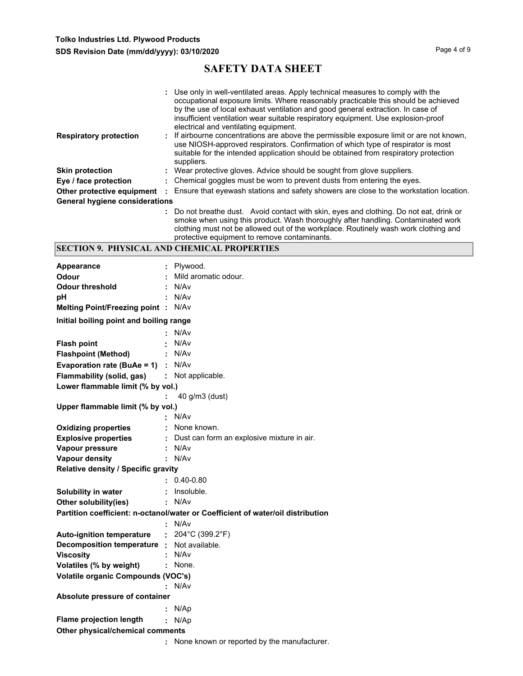|                                       |                   | : Use only in well-ventilated areas. Apply technical measures to comply with the<br>occupational exposure limits. Where reasonably practicable this should be achieved<br>by the use of local exhaust ventilation and good general extraction. In case of<br>insufficient ventilation wear suitable respiratory equipment. Use explosion-proof<br>electrical and ventilating equipment. |
|---------------------------------------|-------------------|-----------------------------------------------------------------------------------------------------------------------------------------------------------------------------------------------------------------------------------------------------------------------------------------------------------------------------------------------------------------------------------------|
| <b>Respiratory protection</b>         |                   | : If airbourne concentrations are above the permissible exposure limit or are not known,<br>use NIOSH-approved respirators. Confirmation of which type of respirator is most<br>suitable for the intended application should be obtained from respiratory protection<br>suppliers.                                                                                                      |
| <b>Skin protection</b>                |                   | : Wear protective gloves. Advice should be sought from glove suppliers.                                                                                                                                                                                                                                                                                                                 |
| Eye / face protection                 |                   | : Chemical goggles must be worn to prevent dusts from entering the eyes.                                                                                                                                                                                                                                                                                                                |
| Other protective equipment            | $\sim$ 100 $\sim$ | Ensure that eyewash stations and safety showers are close to the workstation location.                                                                                                                                                                                                                                                                                                  |
| <b>General hygiene considerations</b> |                   |                                                                                                                                                                                                                                                                                                                                                                                         |
|                                       |                   | : Do not breathe dust. Avoid contact with skin, eyes and clothing. Do not eat, drink or<br>smoke when using this product. Wash thoroughly after handling. Contaminated work<br>clothing must not be allowed out of the workplace. Routinely wash work clothing and                                                                                                                      |

|  | protective equipment to remove contaminants.       |
|--|----------------------------------------------------|
|  | <b>SECTION 9. PHYSICAL AND CHEMICAL PROPERTIES</b> |

| <b>Appearance</b>                                  | Plywood.                                                                        |
|----------------------------------------------------|---------------------------------------------------------------------------------|
| Odour                                              | Mild aromatic odour.                                                            |
| <b>Odour threshold</b>                             | N/Av<br>÷.                                                                      |
| рH                                                 | N/Av<br>÷.                                                                      |
| Melting Point/Freezing point : N/Av                |                                                                                 |
| Initial boiling point and boiling range            |                                                                                 |
|                                                    | N/Av                                                                            |
| <b>Flash point</b>                                 | N/Av                                                                            |
| <b>Flashpoint (Method)</b>                         | : N/Av                                                                          |
| <b>Evaporation rate (BuAe = 1)</b> : $N/Av$        |                                                                                 |
| <b>Flammability (solid, gas) :</b> Not applicable. |                                                                                 |
| Lower flammable limit (% by vol.)                  |                                                                                 |
|                                                    | 40 g/m3 (dust)                                                                  |
| Upper flammable limit (% by vol.)                  |                                                                                 |
|                                                    | $\cdot$ N/Av                                                                    |
| <b>Oxidizing properties</b>                        | : None known.                                                                   |
| <b>Explosive properties</b>                        | : Dust can form an explosive mixture in air.                                    |
| Vapour pressure                                    | : N/Av                                                                          |
| <b>Vapour density</b>                              | : N/Av                                                                          |
| Relative density / Specific gravity                |                                                                                 |
|                                                    | $: 0.40 - 0.80$                                                                 |
| Solubility in water                                | : Insoluble.                                                                    |
| Other solubility(ies)                              | : N/Av                                                                          |
|                                                    | Partition coefficient: n-octanol/water or Coefficient of water/oil distribution |
|                                                    | : N/Av                                                                          |
| <b>Auto-ignition temperature</b>                   | : $204^{\circ}$ C (399.2°F)                                                     |
| Decomposition temperature :                        | Not available.                                                                  |
| <b>Viscosity</b>                                   | N/A <sub>v</sub>                                                                |
| Volatiles (% by weight)                            | : None.                                                                         |
| <b>Volatile organic Compounds (VOC's)</b>          |                                                                                 |
|                                                    | : N/Av                                                                          |
| Absolute pressure of container                     |                                                                                 |
|                                                    | : $N/Ap$                                                                        |
| <b>Flame projection length</b>                     | : N/Ap                                                                          |
| Other physical/chemical comments                   |                                                                                 |
|                                                    | None known or reported by the manufacturer.                                     |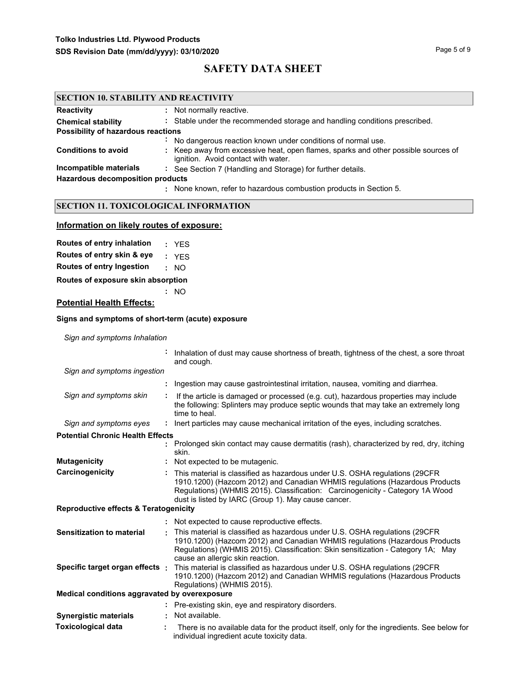| <b>SECTION 10. STABILITY AND REACTIVITY</b> |                                                                                                                           |  |
|---------------------------------------------|---------------------------------------------------------------------------------------------------------------------------|--|
| <b>Reactivity</b>                           | : Not normally reactive.                                                                                                  |  |
| <b>Chemical stability</b>                   | : Stable under the recommended storage and handling conditions prescribed.                                                |  |
| Possibility of hazardous reactions          |                                                                                                                           |  |
|                                             | No dangerous reaction known under conditions of normal use.                                                               |  |
| <b>Conditions to avoid</b>                  | : Keep away from excessive heat, open flames, sparks and other possible sources of<br>ignition. Avoid contact with water. |  |
| Incompatible materials                      | : See Section 7 (Handling and Storage) for further details.                                                               |  |
| <b>Hazardous decomposition products</b>     |                                                                                                                           |  |
|                                             | : None known, refer to hazardous combustion products in Section 5.                                                        |  |

# **SECTION 11. TOXICOLOGICAL INFORMATION**

# **Information on likely routes of exposure:**

| : YES |
|-------|
| : YES |
| : NO  |
|       |

**Routes of exposure skin absorption**

# **Potential Health Effects:**

# **Signs and symptoms of short-term (acute) exposure**

**:** NO

*Sign and symptoms Inhalation*

|                                                  | Inhalation of dust may cause shortness of breath, tightness of the chest, a sore throat<br>and cough.                                                                                                                                                                                              |
|--------------------------------------------------|----------------------------------------------------------------------------------------------------------------------------------------------------------------------------------------------------------------------------------------------------------------------------------------------------|
| Sign and symptoms ingestion                      |                                                                                                                                                                                                                                                                                                    |
|                                                  | Ingestion may cause gastrointestinal irritation, nausea, vomiting and diarrhea.                                                                                                                                                                                                                    |
| Sign and symptoms skin                           | If the article is damaged or processed (e.g. cut), hazardous properties may include<br>the following: Splinters may produce septic wounds that may take an extremely long<br>time to heal.                                                                                                         |
| Sign and symptoms eyes                           | lnert particles may cause mechanical irritation of the eyes, including scratches.<br>÷.                                                                                                                                                                                                            |
| <b>Potential Chronic Health Effects</b>          |                                                                                                                                                                                                                                                                                                    |
|                                                  | : Prolonged skin contact may cause dermatitis (rash), characterized by red, dry, itching<br>skin.                                                                                                                                                                                                  |
| <b>Mutagenicity</b>                              | : Not expected to be mutagenic.                                                                                                                                                                                                                                                                    |
| Carcinogenicity                                  | This material is classified as hazardous under U.S. OSHA regulations (29CFR<br>1910.1200) (Hazcom 2012) and Canadian WHMIS regulations (Hazardous Products<br>Regulations) (WHMIS 2015). Classification: Carcinogenicity - Category 1A Wood<br>dust is listed by IARC (Group 1). May cause cancer. |
| <b>Reproductive effects &amp; Teratogenicity</b> |                                                                                                                                                                                                                                                                                                    |
|                                                  | : Not expected to cause reproductive effects.                                                                                                                                                                                                                                                      |
| Sensitization to material                        | This material is classified as hazardous under U.S. OSHA regulations (29CFR<br>1910.1200) (Hazcom 2012) and Canadian WHMIS regulations (Hazardous Products<br>Regulations) (WHMIS 2015). Classification: Skin sensitization - Category 1A; May<br>cause an allergic skin reaction.                 |
| Specific target organ effects :                  | This material is classified as hazardous under U.S. OSHA regulations (29CFR<br>1910.1200) (Hazcom 2012) and Canadian WHMIS regulations (Hazardous Products<br>Regulations) (WHMIS 2015).                                                                                                           |
| Medical conditions aggravated by overexposure    |                                                                                                                                                                                                                                                                                                    |
|                                                  | : Pre-existing skin, eye and respiratory disorders.                                                                                                                                                                                                                                                |
| <b>Synergistic materials</b>                     | Not available.                                                                                                                                                                                                                                                                                     |
| <b>Toxicological data</b>                        | There is no available data for the product itself, only for the ingredients. See below for<br>individual ingredient acute toxicity data.                                                                                                                                                           |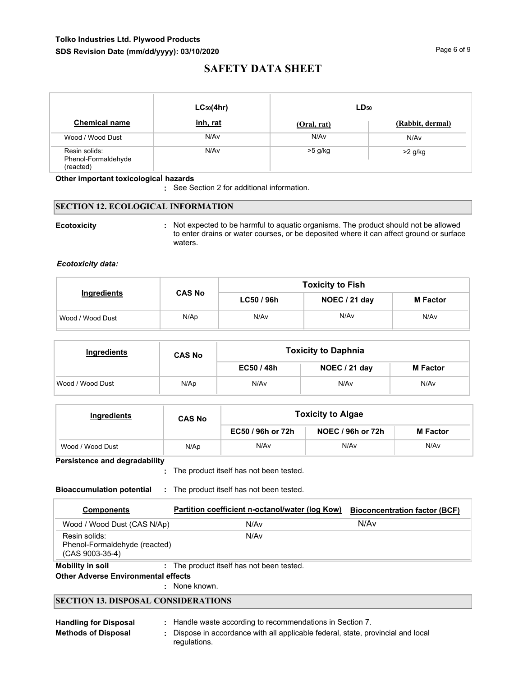# **Tolko Industries Ltd. Plywood Products** SDS Revision Date (mm/dd/yyyy): 03/10/2020

# **SAFETY DATA SHEET**

|                                                   | $LC_{50}(4hr)$ | $LD_{50}$   |                  |
|---------------------------------------------------|----------------|-------------|------------------|
| <b>Chemical name</b>                              | inh, rat       | (Oral, rat) | (Rabbit, dermal) |
| Wood / Wood Dust                                  | N/Av           | N/Av        | N/Av             |
| Resin solids:<br>Phenol-Formaldehyde<br>(reacted) | N/Av           | $>5$ g/kg   | $>2$ g/kg        |

# **Other important toxicologica**l **hazards**

**:** See Section 2 for additional information.

# **SECTION 12. ECOLOGICAL INFORMATION**

**Ecotoxicity Example 20 CON**: Not expected to be harmful to aquatic organisms. The product should not be allowed to enter drains or water courses, or be deposited where it can affect ground or surface waters.

# *Ecotoxicity data:*

|                  |               | <b>Toxicity to Fish</b> |               |                 |
|------------------|---------------|-------------------------|---------------|-----------------|
| Ingredients      | <b>CAS No</b> | LC50/96h                | NOEC / 21 day | <b>M</b> Factor |
| Wood / Wood Dust | N/Ap          | N/Av                    | N/Av          | N/Av            |

| Ingredients      | <b>CAS No</b> | <b>Toxicity to Daphnia</b> |               |                 |  |  |  |
|------------------|---------------|----------------------------|---------------|-----------------|--|--|--|
|                  |               | EC50 / 48h                 | NOEC / 21 day | <b>M</b> Factor |  |  |  |
| Wood / Wood Dust | N/Ap          | N/Av                       | N/Av          | N/Av            |  |  |  |

| Ingredients      | <b>CAS No</b> | <b>Toxicity to Algae</b> |                   |                 |  |  |
|------------------|---------------|--------------------------|-------------------|-----------------|--|--|
|                  |               |                          | NOEC / 96h or 72h | <b>M</b> Factor |  |  |
| Wood / Wood Dust | N/Ap          | N/Av                     | N/Av              | N/Av            |  |  |

**Persistence and degradability**

The product itself has not been tested. **:**

**Bioaccumulation potential :** The product itself has not been tested.

| <b>Components</b>                                                   | Partition coefficient n-octanol/water (log Kow) | <b>Bioconcentration factor (BCF)</b> |
|---------------------------------------------------------------------|-------------------------------------------------|--------------------------------------|
| Wood / Wood Dust (CAS N/Ap)                                         | N/Av                                            | N/Av                                 |
| Resin solids:<br>Phenol-Formaldehyde (reacted)<br>$(CAS 9003-35-4)$ | N/Av                                            |                                      |
| Mobility in soil                                                    | : The product itself has not been tested.       |                                      |
| <b>Other Adverse Environmental effects</b>                          |                                                 |                                      |

: None known.

# **SECTION 13. DISPOSAL CONSIDERATIONS**

**Methods of Disposal :**

- **Handling for Disposal :** Handle waste according to recommendations in Section 7.
	- Dispose in accordance with all applicable federal, state, provincial and local regulations.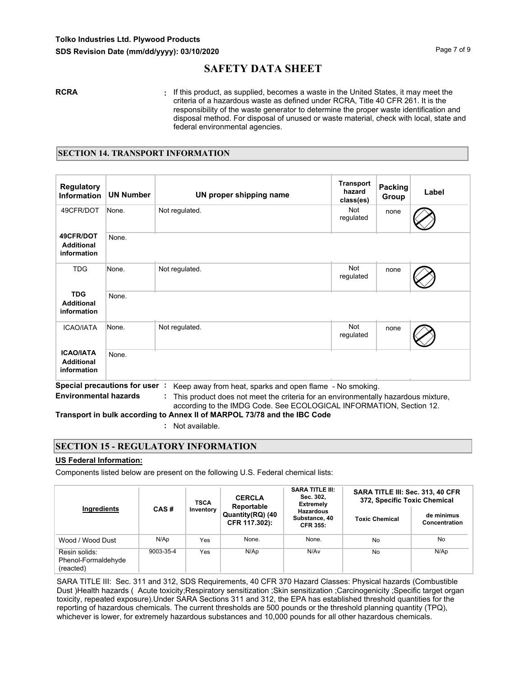**RCRA :** If this product, as supplied, becomes a waste in the United States, it may meet the criteria of a hazardous waste as defined under RCRA, Title 40 CFR 261. It is the responsibility of the waste generator to determine the proper waste identification and disposal method. For disposal of unused or waste material, check with local, state and federal environmental agencies.

# **SECTION 14. TRANSPORT INFORMATION**

| <b>Regulatory</b><br><b>Information</b>              | <b>UN Number</b>                      | UN proper shipping name                    | <b>Transport</b><br>hazard<br>class(es) | <b>Packing</b><br>Group | Label |
|------------------------------------------------------|---------------------------------------|--------------------------------------------|-----------------------------------------|-------------------------|-------|
| 49CFR/DOT                                            | None.                                 | Not regulated.                             | <b>Not</b><br>regulated                 | none                    |       |
| 49CFR/DOT<br><b>Additional</b><br>information        | None.                                 |                                            |                                         |                         |       |
| <b>TDG</b>                                           | None.                                 | Not regulated.                             | Not<br>regulated                        | none                    |       |
| <b>TDG</b><br><b>Additional</b><br>information       | None.                                 |                                            |                                         |                         |       |
| <b>ICAO/IATA</b>                                     | None.                                 | Not regulated.                             | <b>Not</b><br>regulated                 | none                    |       |
| <b>ICAO/IATA</b><br><b>Additional</b><br>information | None.<br>Spocial procoutions for user | Keep away from boot, aparks and open flame | No omoking                              |                         |       |

**Special precautions for user :** Keep away from heat, sparks and open flame - No smoking.

**Environmental hazards :** This product does not meet the criteria for an environmentally hazardous mixture, according to the IMDG Code. See ECOLOGICAL INFORMATION, Section 12.

**Transport in bulk according to Annex II of MARPOL 73/78 and the IBC Code**

**:** Not available.

# **SECTION 15 - REGULATORY INFORMATION**

# **US Federal Information:**

Components listed below are present on the following U.S. Federal chemical lists:

| Ingredients<br>CAS#                               |           | <b>TSCA</b>                       | <b>CERCLA</b><br>Reportable                          | <b>SARA TITLE III:</b><br>Sec. 302,<br><b>Extremely</b> | SARA TITLE III: Sec. 313, 40 CFR<br>372, Specific Toxic Chemical |      |  |
|---------------------------------------------------|-----------|-----------------------------------|------------------------------------------------------|---------------------------------------------------------|------------------------------------------------------------------|------|--|
|                                                   | Inventory | Quantity(RQ) (40<br>CFR 117.302): | <b>Hazardous</b><br>Substance, 40<br><b>CFR 355:</b> | <b>Toxic Chemical</b>                                   | de minimus<br>Concentration                                      |      |  |
| Wood / Wood Dust                                  | N/Ap      | Yes                               | None.                                                | None.                                                   | No                                                               | No   |  |
| Resin solids:<br>Phenol-Formaldehyde<br>(reacted) | 9003-35-4 | Yes                               | N/AD                                                 | N/Av                                                    | No                                                               | N/AD |  |

SARA TITLE III: Sec. 311 and 312, SDS Requirements, 40 CFR 370 Hazard Classes: Physical hazards (Combustible Dust )Health hazards ( Acute toxicity;Respiratory sensitization ;Skin sensitization ;Carcinogenicity ;Specific target organ toxicity, repeated exposure).Under SARA Sections 311 and 312, the EPA has established threshold quantities for the reporting of hazardous chemicals. The current thresholds are 500 pounds or the threshold planning quantity (TPQ), whichever is lower, for extremely hazardous substances and 10,000 pounds for all other hazardous chemicals.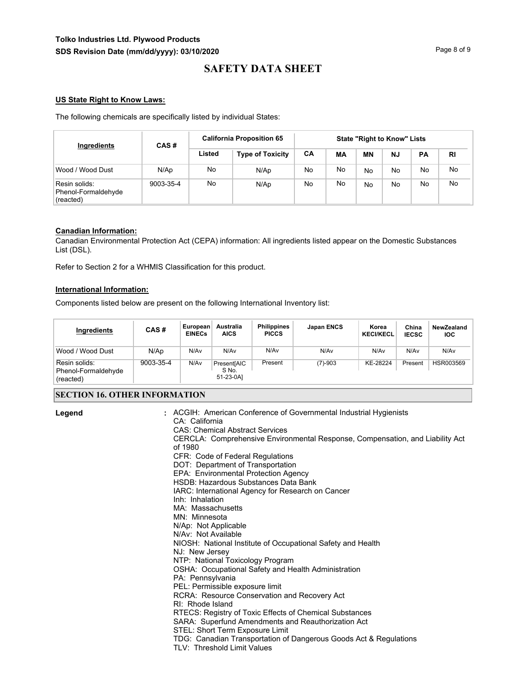# **Tolko Industries Ltd. Plywood Products SDS Revision Date (mm/dd/yyyy): 03/10/2020 Page 8 of 9** Page 8 of 9

# **SAFETY DATA SHEET**

# **US State Right to Know Laws:**

The following chemicals are specifically listed by individual States:

| Ingredients                                       | CAS#      |        | <b>California Proposition 65</b> |     |    |    |    | <b>State "Right to Know" Lists</b> |           |  |  |  |
|---------------------------------------------------|-----------|--------|----------------------------------|-----|----|----|----|------------------------------------|-----------|--|--|--|
|                                                   |           | Listed | <b>Type of Toxicity</b>          | CA  | МA | ΜN | NJ | <b>PA</b>                          | <b>RI</b> |  |  |  |
| Wood / Wood Dust                                  | N/Ap      | No     | N/Ap                             | No. | No | No | No | No                                 | No.       |  |  |  |
| Resin solids:<br>Phenol-Formaldehyde<br>(reacted) | 9003-35-4 | No     | N/Ap                             | No  | No | No | No | No                                 | No.       |  |  |  |

# **Canadian Information:**

Canadian Environmental Protection Act (CEPA) information: All ingredients listed appear on the Domestic Substances List (DSL).

Refer to Section 2 for a WHMIS Classification for this product.

# **International Information:**

Components listed below are present on the following International Inventory list:

| Ingredients                                       | CAS#      | European<br><b>EINECs</b> | Australia<br><b>AICS</b>          | <b>Philippines</b><br><b>PICCS</b> | Japan ENCS       | Korea<br><b>KECI/KECL</b> | China<br><b>IECSC</b> | NewZealand<br><b>IOC</b> |
|---------------------------------------------------|-----------|---------------------------|-----------------------------------|------------------------------------|------------------|---------------------------|-----------------------|--------------------------|
| Wood / Wood Dust                                  | N/Ap      | N/Av                      | N/Av                              | N/Av                               | N/A <sub>v</sub> | N/Av                      | N/Av                  | N/Av                     |
| Resin solids:<br>Phenol-Formaldehyde<br>(reacted) | 9003-35-4 | N/Av                      | Present[AIC<br>S No.<br>51-23-0A1 | Present                            | $(7)-903$        | KE-28224                  | Present               | HSR003569                |

### **SECTION 16. OTHER INFORMATION**

| Legend | : ACGIH: American Conference of Governmental Industrial Hygienists<br>CA: California<br><b>CAS: Chemical Abstract Services</b><br>CERCLA: Comprehensive Environmental Response, Compensation, and Liability Act<br>of 1980<br>CFR: Code of Federal Regulations<br>DOT: Department of Transportation<br>EPA: Environmental Protection Agency<br>HSDB: Hazardous Substances Data Bank<br>IARC: International Agency for Research on Cancer<br>Inh: Inhalation |
|--------|-------------------------------------------------------------------------------------------------------------------------------------------------------------------------------------------------------------------------------------------------------------------------------------------------------------------------------------------------------------------------------------------------------------------------------------------------------------|
|        | MA: Massachusetts<br>MN: Minnesota                                                                                                                                                                                                                                                                                                                                                                                                                          |
|        | N/Ap: Not Applicable<br>N/Av: Not Available                                                                                                                                                                                                                                                                                                                                                                                                                 |
|        | NIOSH: National Institute of Occupational Safety and Health<br>NJ: New Jersey                                                                                                                                                                                                                                                                                                                                                                               |
|        | NTP: National Toxicology Program                                                                                                                                                                                                                                                                                                                                                                                                                            |
|        | OSHA: Occupational Safety and Health Administration<br>PA: Pennsylvania                                                                                                                                                                                                                                                                                                                                                                                     |
|        | PEL: Permissible exposure limit                                                                                                                                                                                                                                                                                                                                                                                                                             |
|        | RCRA: Resource Conservation and Recovery Act<br>RI: Rhode Island                                                                                                                                                                                                                                                                                                                                                                                            |
|        | RTECS: Registry of Toxic Effects of Chemical Substances<br>SARA: Superfund Amendments and Reauthorization Act<br>STEL: Short Term Exposure Limit                                                                                                                                                                                                                                                                                                            |
|        | TDG: Canadian Transportation of Dangerous Goods Act & Regulations<br>TLV: Threshold Limit Values                                                                                                                                                                                                                                                                                                                                                            |